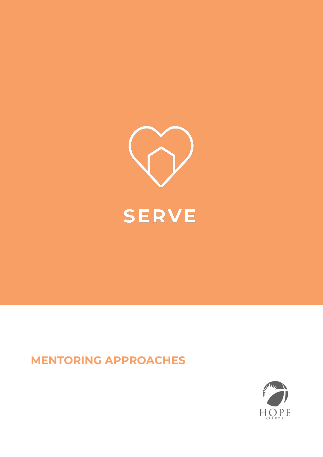

## **MENTORING APPROACHES**

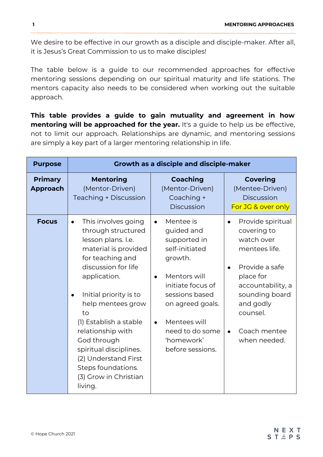We desire to be effective in our growth as a disciple and disciple-maker. After all, it is Jesus's Great Commission to us to make disciples!

The table below is a guide to our recommended approaches for effective mentoring sessions depending on our spiritual maturity and life stations. The mentors capacity also needs to be considered when working out the suitable approach.

**This table provides a guide to gain mutuality and agreement in how mentoring will be approached for the year.** It's a guide to help us be effective, not to limit our approach. Relationships are dynamic, and mentoring sessions are simply a key part of a larger mentoring relationship in life.

| <b>Purpose</b>                    | <b>Growth as a disciple and disciple-maker</b>                                                                                                                                                                                                                                                                                                                                                 |                                                                                                                                                                                                                                                             |                                                                                                                                                                                                                                       |  |  |
|-----------------------------------|------------------------------------------------------------------------------------------------------------------------------------------------------------------------------------------------------------------------------------------------------------------------------------------------------------------------------------------------------------------------------------------------|-------------------------------------------------------------------------------------------------------------------------------------------------------------------------------------------------------------------------------------------------------------|---------------------------------------------------------------------------------------------------------------------------------------------------------------------------------------------------------------------------------------|--|--|
| <b>Primary</b><br><b>Approach</b> | <b>Mentoring</b><br>(Mentor-Driven)<br>Teaching + Discussion                                                                                                                                                                                                                                                                                                                                   | <b>Coaching</b><br>(Mentor-Driven)<br>Coaching +<br><b>Discussion</b>                                                                                                                                                                                       | <b>Covering</b><br>(Mentee-Driven)<br><b>Discussion</b><br>For JG & over only                                                                                                                                                         |  |  |
| <b>Focus</b>                      | This involves going<br>through structured<br>lesson plans. I.e.<br>material is provided<br>for teaching and<br>discussion for life<br>application.<br>Initial priority is to<br>$\bullet$<br>help mentees grow<br>to<br>(1) Establish a stable<br>relationship with<br>God through<br>spiritual disciplines.<br>(2) Understand First<br>Steps foundations.<br>(3) Grow in Christian<br>living. | Mentee is<br>$\bullet$<br>guided and<br>supported in<br>self-initiated<br>growth.<br>Mentors will<br>$\bullet$<br>initiate focus of<br>sessions based<br>on agreed goals.<br>Mentees will<br>$\bullet$<br>need to do some<br>'homework'<br>before sessions. | Provide spiritual<br>$\bullet$<br>covering to<br>watch over<br>mentees life.<br>Provide a safe<br>$\bullet$<br>place for<br>accountability, a<br>sounding board<br>and godly<br>counsel.<br>Coach mentee<br>$\bullet$<br>when needed. |  |  |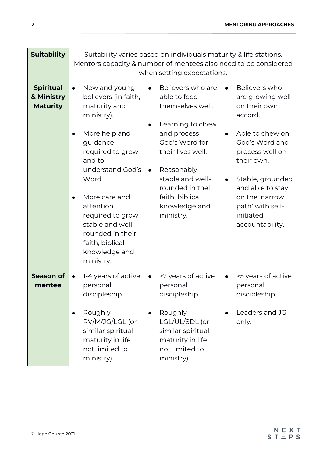| <b>Suitability</b>                                | Suitability varies based on individuals maturity & life stations.<br>Mentors capacity & number of mentees also need to be considered<br>when setting expectations.                                                                                                                                                                            |                                                                                                                                                                                                                                                                  |                                                                                                                                                                                                                                                               |  |  |
|---------------------------------------------------|-----------------------------------------------------------------------------------------------------------------------------------------------------------------------------------------------------------------------------------------------------------------------------------------------------------------------------------------------|------------------------------------------------------------------------------------------------------------------------------------------------------------------------------------------------------------------------------------------------------------------|---------------------------------------------------------------------------------------------------------------------------------------------------------------------------------------------------------------------------------------------------------------|--|--|
| <b>Spiritual</b><br>& Ministry<br><b>Maturity</b> | New and young<br>$\bullet$<br>believers (in faith,<br>maturity and<br>ministry).<br>More help and<br>$\bullet$<br>guidance<br>required to grow<br>and to<br>understand God's<br>Word.<br>More care and<br>$\bullet$<br>attention<br>required to grow<br>stable and well-<br>rounded in their<br>faith, biblical<br>knowledge and<br>ministry. | Believers who are<br>able to feed<br>themselves well.<br>Learning to chew<br>$\bullet$<br>and process<br>God's Word for<br>their lives well.<br>Reasonably<br>$\bullet$<br>stable and well-<br>rounded in their<br>faith, biblical<br>knowledge and<br>ministry. | Believers who<br>are growing well<br>on their own<br>accord.<br>Able to chew on<br>$\bullet$<br>God's Word and<br>process well on<br>their own.<br>Stable, grounded<br>and able to stay<br>on the 'narrow<br>path' with self-<br>initiated<br>accountability. |  |  |
| <b>Season of</b><br>mentee                        | 1-4 years of active<br>$\bullet$<br>personal<br>discipleship.<br>Roughly<br>$\bullet$<br>RV/M/JG/LGL (or<br>similar spiritual<br>maturity in life<br>not limited to<br>ministry).                                                                                                                                                             | >2 years of active<br>$\bullet$<br>personal<br>discipleship.<br>Roughly<br>$\bullet$<br>LGL/UL/SDL (or<br>similar spiritual<br>maturity in life<br>not limited to<br>ministry).                                                                                  | >5 years of active<br>$\bullet$<br>personal<br>discipleship.<br>Leaders and JG<br>$\bullet$<br>only.                                                                                                                                                          |  |  |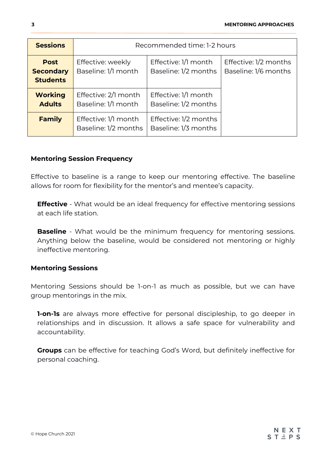| <b>Sessions</b>                                    | Recommended time: 1-2 hours                  |                                               |                                               |
|----------------------------------------------------|----------------------------------------------|-----------------------------------------------|-----------------------------------------------|
| <b>Post</b><br><b>Secondary</b><br><b>Students</b> | Effective: weekly<br>Baseline: 1/1 month     | Effective: 1/1 month<br>Baseline: 1/2 months  | Effective: 1/2 months<br>Baseline: 1/6 months |
| <b>Working</b><br><b>Adults</b>                    | Effective: 2/1 month<br>Baseline: 1/1 month  | Effective: 1/1 month<br>Baseline: 1/2 months  |                                               |
| <b>Family</b>                                      | Effective: 1/1 month<br>Baseline: 1/2 months | Effective: 1/2 months<br>Baseline: 1/3 months |                                               |

## **Mentoring Session Frequency**

Effective to baseline is a range to keep our mentoring effective. The baseline allows for room for flexibility for the mentor's and mentee's capacity.

**Effective** - What would be an ideal frequency for effective mentoring sessions at each life station.

**Baseline** - What would be the minimum frequency for mentoring sessions. Anything below the baseline, would be considered not mentoring or highly ineffective mentoring.

## **Mentoring Sessions**

Mentoring Sessions should be 1-on-1 as much as possible, but we can have group mentorings in the mix.

**1-on-1s** are always more effective for personal discipleship, to go deeper in relationships and in discussion. It allows a safe space for vulnerability and accountability.

**Groups** can be effective for teaching God's Word, but definitely ineffective for personal coaching.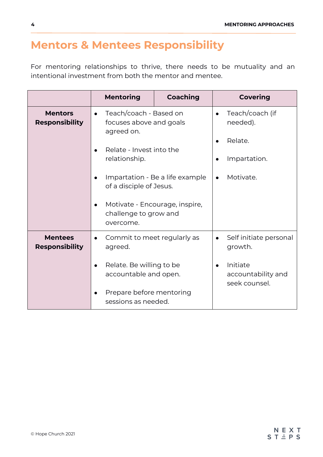## **Mentors & Mentees Responsibility**

For mentoring relationships to thrive, there needs to be mutuality and an intentional investment from both the mentor and mentee.

|                                         | <b>Mentoring</b>                                                                                                                                                                                                                                   | <b>Coaching</b> |                        | <b>Covering</b>                                                     |
|-----------------------------------------|----------------------------------------------------------------------------------------------------------------------------------------------------------------------------------------------------------------------------------------------------|-----------------|------------------------|---------------------------------------------------------------------|
| <b>Mentors</b><br><b>Responsibility</b> | Teach/coach - Based on<br>$\bullet$<br>focuses above and goals<br>agreed on.<br>Relate - Invest into the<br>relationship.<br>Impartation - Be a life example<br>of a disciple of Jesus.<br>Motivate - Encourage, inspire,<br>challenge to grow and |                 | $\bullet$<br>$\bullet$ | Teach/coach (if<br>needed).<br>Relate.<br>Impartation.<br>Motivate. |
| <b>Mentees</b><br><b>Responsibility</b> | overcome.<br>Commit to meet regularly as<br>$\bullet$                                                                                                                                                                                              |                 | $\bullet$              | Self initiate personal<br>growth.                                   |
|                                         | agreed.<br>Relate. Be willing to be<br>accountable and open.<br>Prepare before mentoring                                                                                                                                                           |                 | $\bullet$              | Initiate<br>accountability and<br>seek counsel.                     |